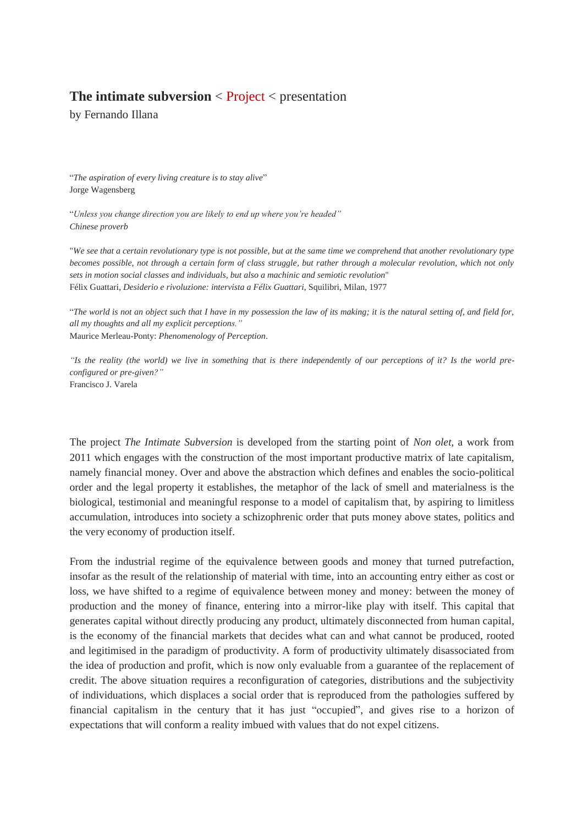### **The intimate subversion**  $\leq$  Project  $\leq$  presentation

by Fernando Illana

"*The aspiration of every living creature is to stay alive*" Jorge Wagensberg

"*Unless you change direction you are likely to end up where you're headed" Chinese proverb*

"*We see that a certain revolutionary type is not possible, but at the same time we comprehend that another revolutionary type becomes possible, not through a certain form of class struggle, but rather through a molecular revolution, which not only sets in motion social classes and individuals, but also a machinic and semiotic revolution*" Félix Guattari, *Desiderio e rivoluzione: intervista a Félix Guattari*, Squilibri, Milan, 1977

"*The world is not an object such that I have in my possession the law of its making; it is the natural setting of, and field for, all my thoughts and all my explicit perceptions."* Maurice Merleau-Ponty: *Phenomenology of Perception*.

*"Is the reality (the world) we live in something that is there independently of our perceptions of it? Is the world preconfigured or pre-given?"* Francisco J. Varela

The project *The Intimate Subversion* is developed from the starting point of *Non olet*, a work from 2011 which engages with the construction of the most important productive matrix of late capitalism, namely financial money. Over and above the abstraction which defines and enables the socio-political order and the legal property it establishes, the metaphor of the lack of smell and materialness is the biological, testimonial and meaningful response to a model of capitalism that, by aspiring to limitless accumulation, introduces into society a schizophrenic order that puts money above states, politics and the very economy of production itself.

From the industrial regime of the equivalence between goods and money that turned putrefaction, insofar as the result of the relationship of material with time, into an accounting entry either as cost or loss, we have shifted to a regime of equivalence between money and money: between the money of production and the money of finance, entering into a mirror-like play with itself. This capital that generates capital without directly producing any product, ultimately disconnected from human capital, is the economy of the financial markets that decides what can and what cannot be produced, rooted and legitimised in the paradigm of productivity. A form of productivity ultimately disassociated from the idea of production and profit, which is now only evaluable from a guarantee of the replacement of credit. The above situation requires a reconfiguration of categories, distributions and the subjectivity of individuations, which displaces a social order that is reproduced from the pathologies suffered by financial capitalism in the century that it has just "occupied", and gives rise to a horizon of expectations that will conform a reality imbued with values that do not expel citizens.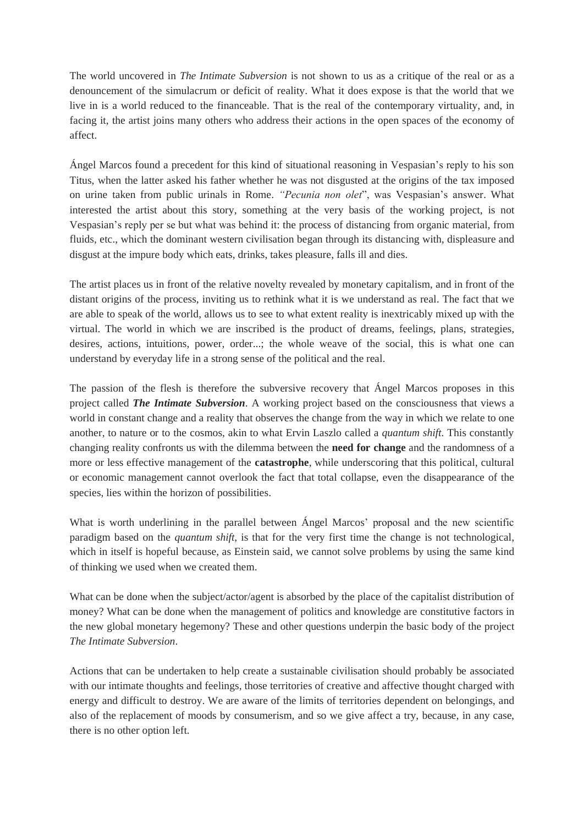The world uncovered in *The Intimate Subversion* is not shown to us as a critique of the real or as a denouncement of the simulacrum or deficit of reality. What it does expose is that the world that we live in is a world reduced to the financeable. That is the real of the contemporary virtuality, and, in facing it, the artist joins many others who address their actions in the open spaces of the economy of affect.

Ángel Marcos found a precedent for this kind of situational reasoning in Vespasian's reply to his son Titus, when the latter asked his father whether he was not disgusted at the origins of the tax imposed on urine taken from public urinals in Rome. *"Pecunia non olet*", was Vespasian's answer. What interested the artist about this story, something at the very basis of the working project, is not Vespasian's reply per se but what was behind it: the process of distancing from organic material, from fluids, etc., which the dominant western civilisation began through its distancing with, displeasure and disgust at the impure body which eats, drinks, takes pleasure, falls ill and dies.

The artist places us in front of the relative novelty revealed by monetary capitalism, and in front of the distant origins of the process, inviting us to rethink what it is we understand as real. The fact that we are able to speak of the world, allows us to see to what extent reality is inextricably mixed up with the virtual. The world in which we are inscribed is the product of dreams, feelings, plans, strategies, desires, actions, intuitions, power, order...; the whole weave of the social, this is what one can understand by everyday life in a strong sense of the political and the real.

The passion of the flesh is therefore the subversive recovery that Ángel Marcos proposes in this project called *The Intimate Subversion*. A working project based on the consciousness that views a world in constant change and a reality that observes the change from the way in which we relate to one another, to nature or to the cosmos, akin to what Ervin Laszlo called a *quantum shift*. This constantly changing reality confronts us with the dilemma between the **need for change** and the randomness of a more or less effective management of the **catastrophe**, while underscoring that this political, cultural or economic management cannot overlook the fact that total collapse, even the disappearance of the species, lies within the horizon of possibilities.

What is worth underlining in the parallel between Angel Marcos' proposal and the new scientific paradigm based on the *quantum shift*, is that for the very first time the change is not technological, which in itself is hopeful because, as Einstein said, we cannot solve problems by using the same kind of thinking we used when we created them.

What can be done when the subject/actor/agent is absorbed by the place of the capitalist distribution of money? What can be done when the management of politics and knowledge are constitutive factors in the new global monetary hegemony? These and other questions underpin the basic body of the project *The Intimate Subversion*.

Actions that can be undertaken to help create a sustainable civilisation should probably be associated with our intimate thoughts and feelings, those territories of creative and affective thought charged with energy and difficult to destroy. We are aware of the limits of territories dependent on belongings, and also of the replacement of moods by consumerism, and so we give affect a try, because, in any case, there is no other option left.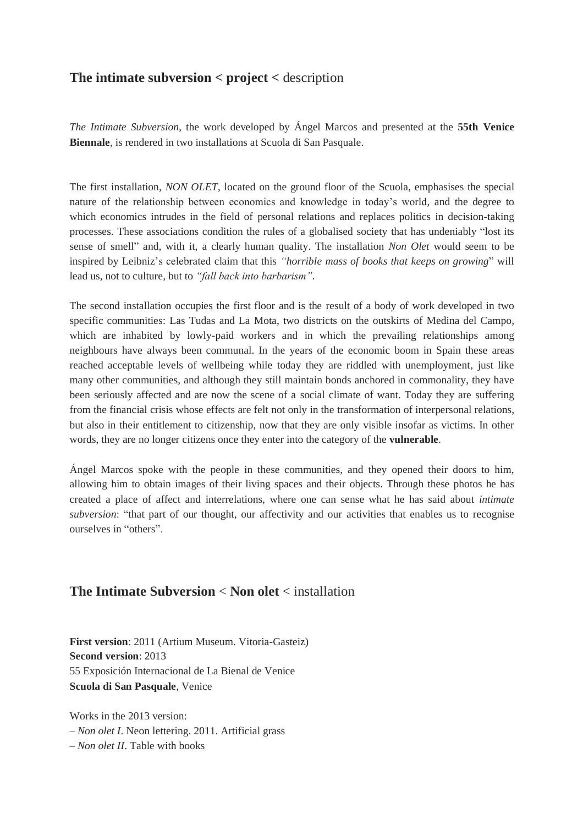# **The intimate subversion < project <** description

*The Intimate Subversion*, the work developed by Ángel Marcos and presented at the **55th Venice Biennale**, is rendered in two installations at Scuola di San Pasquale.

The first installation, *NON OLET*, located on the ground floor of the Scuola, emphasises the special nature of the relationship between economics and knowledge in today's world, and the degree to which economics intrudes in the field of personal relations and replaces politics in decision-taking processes. These associations condition the rules of a globalised society that has undeniably "lost its sense of smell" and, with it, a clearly human quality. The installation *Non Olet* would seem to be inspired by Leibniz's celebrated claim that this *"horrible mass of books that keeps on growing*" will lead us, not to culture, but to *"fall back into barbarism".*

The second installation occupies the first floor and is the result of a body of work developed in two specific communities: Las Tudas and La Mota, two districts on the outskirts of Medina del Campo, which are inhabited by lowly-paid workers and in which the prevailing relationships among neighbours have always been communal. In the years of the economic boom in Spain these areas reached acceptable levels of wellbeing while today they are riddled with unemployment, just like many other communities, and although they still maintain bonds anchored in commonality, they have been seriously affected and are now the scene of a social climate of want. Today they are suffering from the financial crisis whose effects are felt not only in the transformation of interpersonal relations, but also in their entitlement to citizenship, now that they are only visible insofar as victims. In other words, they are no longer citizens once they enter into the category of the **vulnerable**.

Ángel Marcos spoke with the people in these communities, and they opened their doors to him, allowing him to obtain images of their living spaces and their objects. Through these photos he has created a place of affect and interrelations, where one can sense what he has said about *intimate subversion*: "that part of our thought, our affectivity and our activities that enables us to recognise ourselves in "others".

## **The Intimate Subversion** < **Non olet** < installation

**First version**: 2011 (Artium Museum. Vitoria-Gasteiz) **Second version**: 2013 55 Exposición Internacional de La Bienal de Venice **Scuola di San Pasquale**, Venice

Works in the 2013 version:

*– Non olet I*. Neon lettering. 2011. Artificial grass

– *Non olet II*. Table with books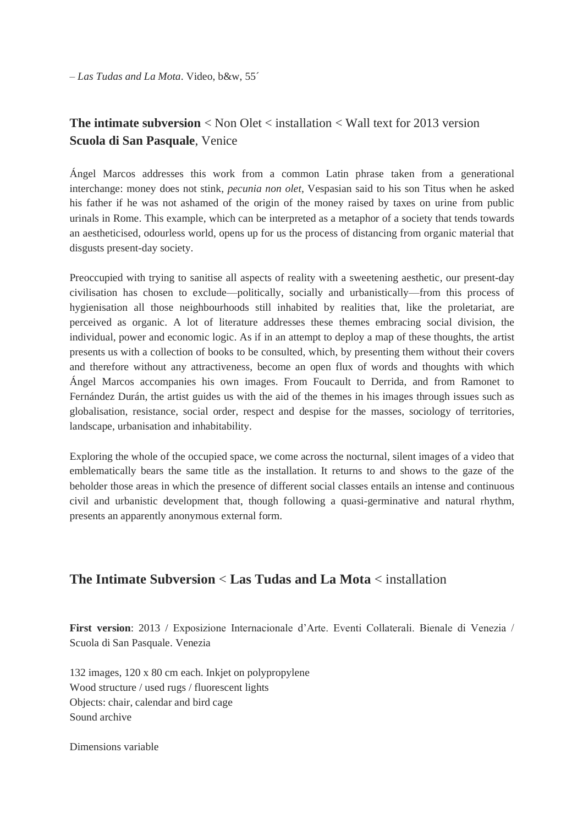– *Las Tudas and La Mota*. Video, b&w, 55´

# **The intimate subversion** < Non Olet < installation < Wall text for 2013 version **Scuola di San Pasquale**, Venice

Ángel Marcos addresses this work from a common Latin phrase taken from a generational interchange: money does not stink, *pecunia non olet*, Vespasian said to his son Titus when he asked his father if he was not ashamed of the origin of the money raised by taxes on urine from public urinals in Rome. This example, which can be interpreted as a metaphor of a society that tends towards an aestheticised, odourless world, opens up for us the process of distancing from organic material that disgusts present-day society.

Preoccupied with trying to sanitise all aspects of reality with a sweetening aesthetic, our present-day civilisation has chosen to exclude—politically, socially and urbanistically—from this process of hygienisation all those neighbourhoods still inhabited by realities that, like the proletariat, are perceived as organic. A lot of literature addresses these themes embracing social division, the individual, power and economic logic. As if in an attempt to deploy a map of these thoughts, the artist presents us with a collection of books to be consulted, which, by presenting them without their covers and therefore without any attractiveness, become an open flux of words and thoughts with which Ángel Marcos accompanies his own images. From Foucault to Derrida, and from Ramonet to Fernández Durán, the artist guides us with the aid of the themes in his images through issues such as globalisation, resistance, social order, respect and despise for the masses, sociology of territories, landscape, urbanisation and inhabitability.

Exploring the whole of the occupied space, we come across the nocturnal, silent images of a video that emblematically bears the same title as the installation. It returns to and shows to the gaze of the beholder those areas in which the presence of different social classes entails an intense and continuous civil and urbanistic development that, though following a quasi-germinative and natural rhythm, presents an apparently anonymous external form.

## **The Intimate Subversion** < **Las Tudas and La Mota** < installation

**First version**: 2013 / Exposizione Internacionale d'Arte. Eventi Collaterali. Bienale di Venezia / Scuola di San Pasquale. Venezia

132 images, 120 x 80 cm each. Inkjet on polypropylene Wood structure / used rugs / fluorescent lights Objects: chair, calendar and bird cage Sound archive

Dimensions variable